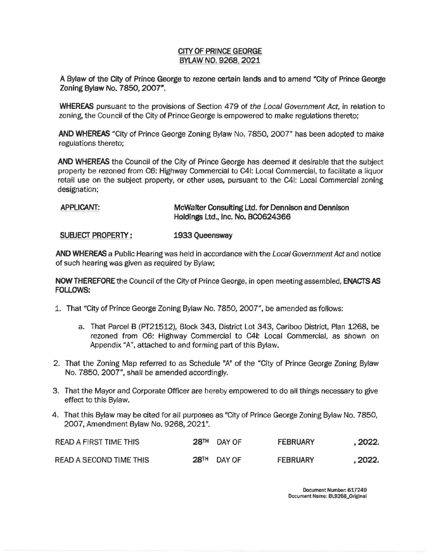## CITY OF PRINCE GEORGE **BYLAW NO. 9268, 2021**

A Bylaw of the City of Prince George to rezone certain lands and to amend "City of Prince George Zoning Bylaw No. 7850, 2007".

**WHEREAS** pursuant to the provisions of Section 479 of the Local Government Act, in relation to zoning, the Council of the City of Prince George is empowered *to* make regulations thereto;

**AND WHEREAS** "City of Prince George Zoning Bylaw No. 7850, 2007" has been adopted to make regulations thereto;

**AND WHEREAS** the Council of the City of Prince George has deemed it desirable that the subject property be rezoned from C6: Highway Commercial to C41: Local Commercial, to facilitate a liquor retail use on the subject property, or other uses, pursuant to the C41: Local Commercial zoning designation;

## **APPLICANT: McWalter Consulting** Ltd. **for Dennison and Dennison Holdings Ltd., Inc. No. BC0624366**

## **SUBJECT PROPERTY: 1933 Queensway**

**AND WHEREAS** a Public Hearing was held in accordance with the local Government Act and notice of such hearing was given as required by Bylaw;

NOW THEREFORE the Council of the City of Prince George, in open meeting assembled, **ENACTS AS FOLLOWS:** 

- 1. That "City of Prince George Zoning Bylaw No. 7850, 2007", be amended as follows:
	- a. That Parcel B (PT21512), Block 343, District Lot 343, Cariboo District, Plan 1268, be rezoned from C6: Highway Commercial to C41: Local Commercial, as shown on Appendix "A", attached to and forming part of this Bylaw.
- 2. That the Zoning Map referred to as Schedule "A" of the "City of Prince George Zoning Bylaw No. 7850, 2007", shall be amended accordingly.
- 3. That the Mayor and Corporate Officer are hereby empowered to do all things necessary to give effect to this Bylaw.
- 4. That this Bylaw may be cited for all purposes as "City of Prince George Zoning Bylaw No. 7850, 2007, Amendment Bylaw No. 9268, 2021".

| <b>READ A FIRST TIME THIS</b> | <b>28TH</b> | DAY OF      | <b>FEBRUARY</b> | , 2022. |
|-------------------------------|-------------|-------------|-----------------|---------|
| READ A SECOND TIME THIS       |             | 28TH DAY OF | FEBRUARY        | , 2022. |

Document Number: 617249 Document Name: BL9268\_0riginal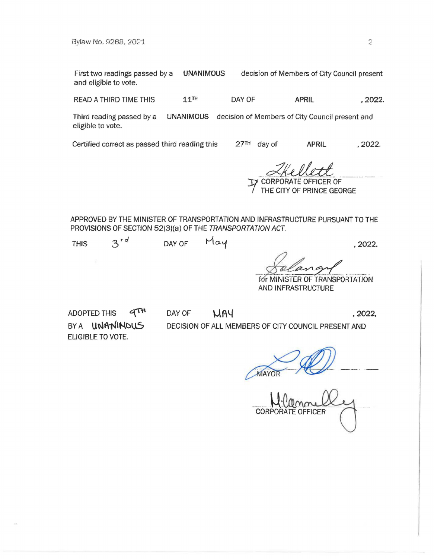First two readings passed by a UNANIMOUS decision of Members of City Council present and eligible to vote.

READ A THIRD TIME THIS  $11^{\text{TH}}$  DAY OF **APRIL** , 2022.

Third reading passed by a **UNANIMOUS** decision of Members of City Council present and eligible to vote.

Certified correct as passed third reading this 27TH day of **APRIL ,2022.** 

<sup>~</sup> :t *!JI~* . -·- *.A~ -*-----·· --- J:1 CORPORATE OFFICER OF

RATE OFFICER OF<br>IY OF PRINCE GEORGE

APPROVED BY THE MINISTER OF TRANSPORTATION AND INFRASTRUCTURE PURSUANT TO THE PROVISIONS OF SECTION 52(3)(a) OF THE TRANSPORTATION ACT

| , 2022. |
|---------|
|         |

*for MINISTER OF TRANSPORTATION* AND INFRASTRUCTURE

ADOPTED THIS  $\mathcal{A}^{\text{TH}}$ BY A **UNANINOUS** ELIGIBLE TO VOTE.

DAY OF **UAY** ,2022, DECISION OF ALL MEMBERS OF CITY COUNCIL PRESENT AND